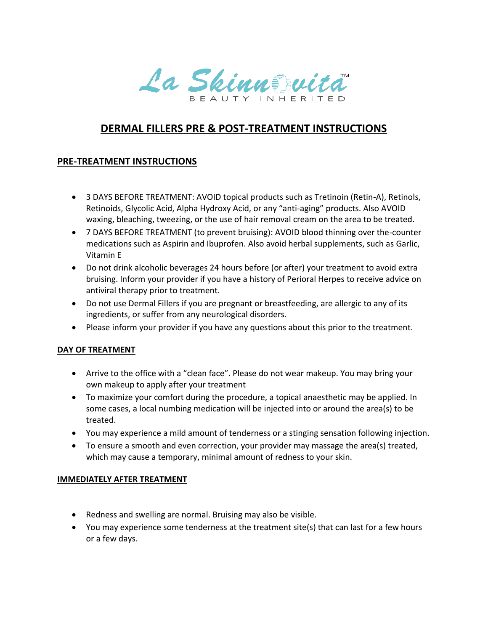La Skinnszuita

# **DERMAL FILLERS PRE & POST-TREATMENT INSTRUCTIONS**

### **PRE-TREATMENT INSTRUCTIONS**

- 3 DAYS BEFORE TREATMENT: AVOID topical products such as Tretinoin (Retin-A), Retinols, Retinoids, Glycolic Acid, Alpha Hydroxy Acid, or any "anti-aging" products. Also AVOID waxing, bleaching, tweezing, or the use of hair removal cream on the area to be treated.
- 7 DAYS BEFORE TREATMENT (to prevent bruising): AVOID blood thinning over the-counter medications such as Aspirin and Ibuprofen. Also avoid herbal supplements, such as Garlic, Vitamin E
- Do not drink alcoholic beverages 24 hours before (or after) your treatment to avoid extra bruising. Inform your provider if you have a history of Perioral Herpes to receive advice on antiviral therapy prior to treatment.
- Do not use Dermal Fillers if you are pregnant or breastfeeding, are allergic to any of its ingredients, or suffer from any neurological disorders.
- Please inform your provider if you have any questions about this prior to the treatment.

#### **DAY OF TREATMENT**

- Arrive to the office with a "clean face". Please do not wear makeup. You may bring your own makeup to apply after your treatment
- To maximize your comfort during the procedure, a topical anaesthetic may be applied. In some cases, a local numbing medication will be injected into or around the area(s) to be treated.
- You may experience a mild amount of tenderness or a stinging sensation following injection.
- To ensure a smooth and even correction, your provider may massage the area(s) treated, which may cause a temporary, minimal amount of redness to your skin.

#### **IMMEDIATELY AFTER TREATMENT**

- Redness and swelling are normal. Bruising may also be visible.
- You may experience some tenderness at the treatment site(s) that can last for a few hours or a few days.